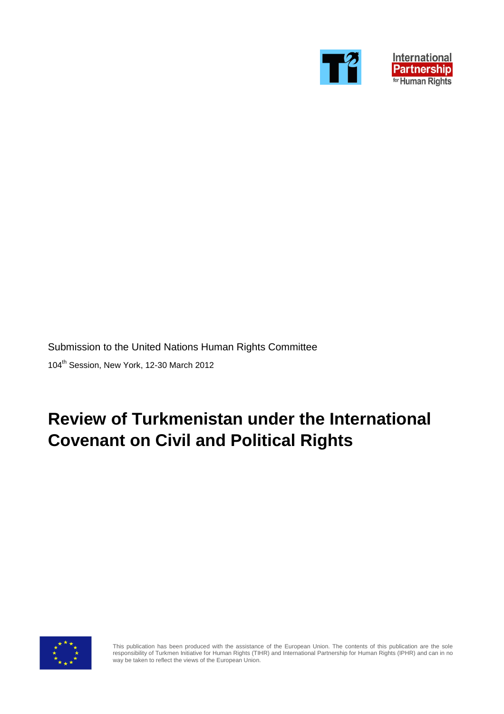



Submission to the United Nations Human Rights Committee 104<sup>th</sup> Session, New York, 12-30 March 2012

# **Review of Turkmenistan under the International Covenant on Civil and Political Rights**



This publication has been produced with the assistance of the European Union. The contents of this publication are the sole responsibility of Turkmen Initiative for Human Rights (TIHR) and International Partnership for Human Rights (IPHR) and can in no way be taken to reflect the views of the European Union.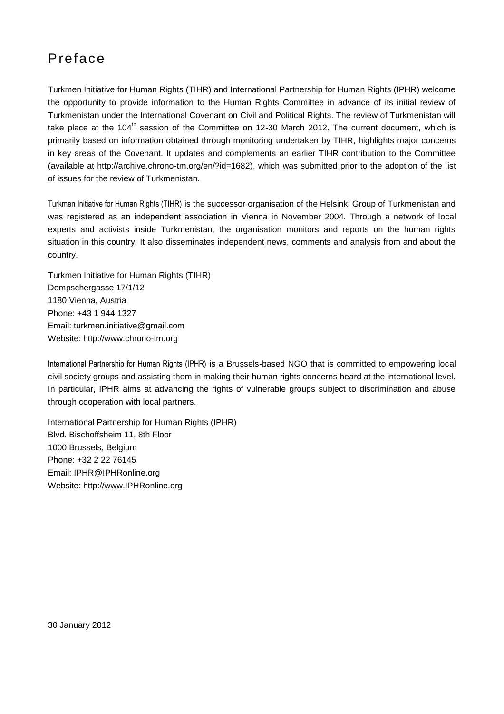## Preface

Turkmen Initiative for Human Rights (TIHR) and International Partnership for Human Rights (IPHR) welcome the opportunity to provide information to the Human Rights Committee in advance of its initial review of Turkmenistan under the International Covenant on Civil and Political Rights. The review of Turkmenistan will take place at the  $104<sup>th</sup>$  session of the Committee on 12-30 March 2012. The current document, which is primarily based on information obtained through monitoring undertaken by TIHR, highlights major concerns in key areas of the Covenant. It updates and complements an earlier TIHR contribution to the Committee (available at http://archive.chrono-tm.org/en/?id=1682), which was submitted prior to the adoption of the list of issues for the review of Turkmenistan.

Turkmen Initiative for Human Rights (TIHR) is the successor organisation of the Helsinki Group of Turkmenistan and was registered as an independent association in Vienna in November 2004. Through a network of local experts and activists inside Turkmenistan, the organisation monitors and reports on the human rights situation in this country. It also disseminates independent news, comments and analysis from and about the country.

Turkmen Initiative for Human Rights (TIHR) Dempschergasse 17/1/12 1180 Vienna, Austria Phone: +43 1 944 1327 Email: turkmen.initiative@gmail.com Website: http://www.chrono-tm.org

International Partnership for Human Rights (IPHR) is a Brussels-based NGO that is committed to empowering local civil society groups and assisting them in making their human rights concerns heard at the international level. In particular, IPHR aims at advancing the rights of vulnerable groups subject to discrimination and abuse through cooperation with local partners.

International Partnership for Human Rights (IPHR) Blvd. Bischoffsheim 11, 8th Floor 1000 Brussels, Belgium Phone: +32 2 22 76145 Email: IPHR@IPHRonline.org Website: http://www.IPHRonline.org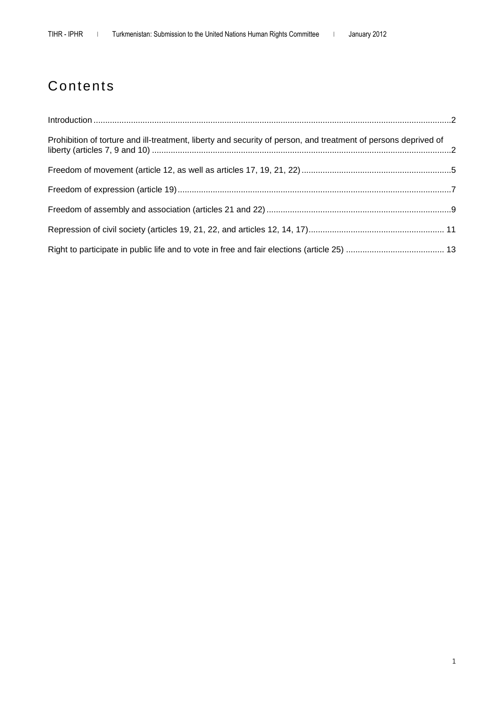# Contents

| Prohibition of torture and ill-treatment, liberty and security of person, and treatment of persons deprived of |  |
|----------------------------------------------------------------------------------------------------------------|--|
|                                                                                                                |  |
|                                                                                                                |  |
|                                                                                                                |  |
|                                                                                                                |  |
|                                                                                                                |  |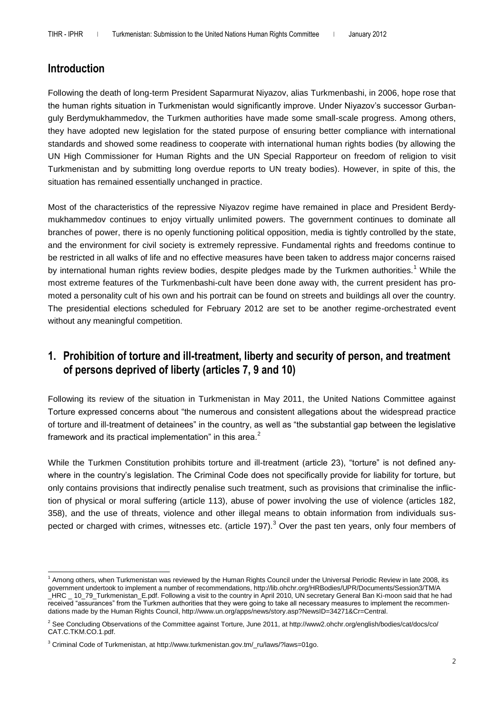### **Introduction**

Following the death of long-term President Saparmurat Niyazov, alias Turkmenbashi, in 2006, hope rose that the human rights situation in Turkmenistan would significantly improve. Under Niyazov's successor Gurbanguly Berdymukhammedov, the Turkmen authorities have made some small-scale progress. Among others, they have adopted new legislation for the stated purpose of ensuring better compliance with international standards and showed some readiness to cooperate with international human rights bodies (by allowing the UN High Commissioner for Human Rights and the UN Special Rapporteur on freedom of religion to visit Turkmenistan and by submitting long overdue reports to UN treaty bodies). However, in spite of this, the situation has remained essentially unchanged in practice.

Most of the characteristics of the repressive Niyazov regime have remained in place and President Berdymukhammedov continues to enjoy virtually unlimited powers. The government continues to dominate all branches of power, there is no openly functioning political opposition, media is tightly controlled by the state, and the environment for civil society is extremely repressive. Fundamental rights and freedoms continue to be restricted in all walks of life and no effective measures have been taken to address major concerns raised by international human rights review bodies, despite pledges made by the Turkmen authorities.<sup>1</sup> While the most extreme features of the Turkmenbashi-cult have been done away with, the current president has promoted a personality cult of his own and his portrait can be found on streets and buildings all over the country. The presidential elections scheduled for February 2012 are set to be another regime-orchestrated event without any meaningful competition.

### **1. Prohibition of torture and ill-treatment, liberty and security of person, and treatment of persons deprived of liberty (articles 7, 9 and 10)**

Following its review of the situation in Turkmenistan in May 2011, the United Nations Committee against Torture expressed concerns about "the numerous and consistent allegations about the widespread practice of torture and ill-treatment of detainees" in the country, as well as "the substantial gap between the legislative framework and its practical implementation" in this area. $2$ 

While the Turkmen Constitution prohibits torture and ill-treatment (article 23), "torture" is not defined anywhere in the country's legislation. The Criminal Code does not specifically provide for liability for torture, but only contains provisions that indirectly penalise such treatment, such as provisions that criminalise the infliction of physical or moral suffering (article 113), abuse of power involving the use of violence (articles 182, 358), and the use of threats, violence and other illegal means to obtain information from individuals suspected or charged with crimes, witnesses etc. (article 197).<sup>3</sup> Over the past ten years, only four members of

 $\overline{a}$ <sup>1</sup> Among others, when Turkmenistan was reviewed by the Human Rights Council under the Universal Periodic Review in late 2008, its government undertook to implement a number of recommendations, http://lib.ohchr.org/HRBodies/UPR/Documents/Session3/TM/A \_HRC \_ 10\_79\_Turkmenistan\_E.pdf. Following a visit to the country in April 2010, UN secretary General Ban Ki-moon said that he had received "assurances" from the Turkmen authorities that they were going to take all necessary measures to implement the recommendations made by the Human Rights Council, http://www.un.org/apps/news/story.asp?NewsID=34271&Cr=Central.

<sup>&</sup>lt;sup>2</sup> See Concluding Observations of the Committee against Torture, June 2011, at http://www2.ohchr.org/english/bodies/cat/docs/co/ CAT.C.TKM.CO.1.pdf.

<sup>3</sup> Criminal Code of Turkmenistan, at http://www.turkmenistan.gov.tm/\_ru/laws/?laws=01go.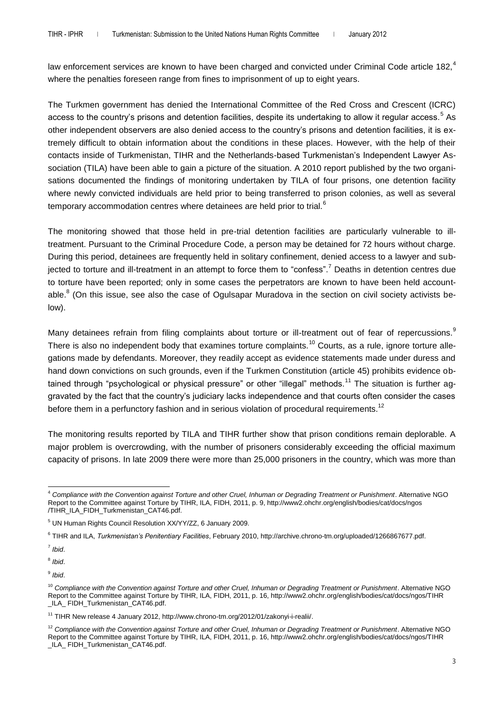law enforcement services are known to have been charged and convicted under Criminal Code article 182,<sup>4</sup> where the penalties foreseen range from fines to imprisonment of up to eight years.

The Turkmen government has denied the International Committee of the Red Cross and Crescent (ICRC) access to the country's prisons and detention facilities, despite its undertaking to allow it regular access.<sup>5</sup> As other independent observers are also denied access to the country's prisons and detention facilities, it is extremely difficult to obtain information about the conditions in these places. However, with the help of their contacts inside of Turkmenistan, TIHR and the Netherlands-based Turkmenistan's Independent Lawyer Association (TILA) have been able to gain a picture of the situation. A 2010 report published by the two organisations documented the findings of monitoring undertaken by TILA of four prisons, one detention facility where newly convicted individuals are held prior to being transferred to prison colonies, as well as several temporary accommodation centres where detainees are held prior to trial.<sup>6</sup>

The monitoring showed that those held in pre-trial detention facilities are particularly vulnerable to illtreatment. Pursuant to the Criminal Procedure Code, a person may be detained for 72 hours without charge. During this period, detainees are frequently held in solitary confinement, denied access to a lawyer and subjected to torture and ill-treatment in an attempt to force them to "confess".<sup>7</sup> Deaths in detention centres due to torture have been reported; only in some cases the perpetrators are known to have been held accountable.<sup>8</sup> (On this issue, see also the case of Ogulsapar Muradova in the section on civil society activists below).

Many detainees refrain from filing complaints about torture or ill-treatment out of fear of repercussions.<sup>9</sup> There is also no independent body that examines torture complaints.<sup>10</sup> Courts, as a rule, ignore torture allegations made by defendants. Moreover, they readily accept as evidence statements made under duress and hand down convictions on such grounds, even if the Turkmen Constitution (article 45) prohibits evidence obtained through "psychological or physical pressure" or other "illegal" methods.<sup>11</sup> The situation is further aggravated by the fact that the country's judiciary lacks independence and that courts often consider the cases before them in a perfunctory fashion and in serious violation of procedural requirements.<sup>12</sup>

The monitoring results reported by TILA and TIHR further show that prison conditions remain deplorable. A major problem is overcrowding, with the number of prisoners considerably exceeding the official maximum capacity of prisons. In late 2009 there were more than 25,000 prisoners in the country, which was more than

 $\overline{a}$ <sup>4</sup> *Compliance with the Convention against Torture and other Cruel, Inhuman or Degrading Treatment or Punishment*. Alternative NGO Report to the Committee against Torture by TIHR, ILA, FIDH, 2011, p. 9, http://www2.ohchr.org/english/bodies/cat/docs/ngos /TIHR\_ILA\_FIDH\_Turkmenistan\_CAT46.pdf.

<sup>5</sup> UN Human Rights Council Resolution XX/YY/ZZ, 6 January 2009.

<sup>6</sup> TIHR and ILA, *Turkmenistan's Penitentiary Facilities*, February 2010, http://archive.chrono-tm.org/uploaded/1266867677.pdf.

<sup>7</sup> *Ibid*.

<sup>8</sup> *Ibid*.

<sup>9</sup> *Ibid*.

<sup>&</sup>lt;sup>10</sup> Compliance with the Convention against Torture and other Cruel, Inhuman or Degrading Treatment or Punishment. Alternative NGO Report to the Committee against Torture by TIHR, ILA, FIDH, 2011, p. 16, http://www2.ohchr.org/english/bodies/cat/docs/ngos/TIHR \_ILA\_ FIDH\_Turkmenistan\_CAT46.pdf.

<sup>&</sup>lt;sup>11</sup> TIHR New release 4 January 2012, http://www.chrono-tm.org/2012/01/zakonyi-i-realii/.

<sup>&</sup>lt;sup>12</sup> Compliance with the Convention against Torture and other Cruel, Inhuman or Degrading Treatment or Punishment. Alternative NGO Report to the Committee against Torture by TIHR, ILA, FIDH, 2011, p. 16, http://www2.ohchr.org/english/bodies/cat/docs/ngos/TIHR \_ILA\_ FIDH\_Turkmenistan\_CAT46.pdf.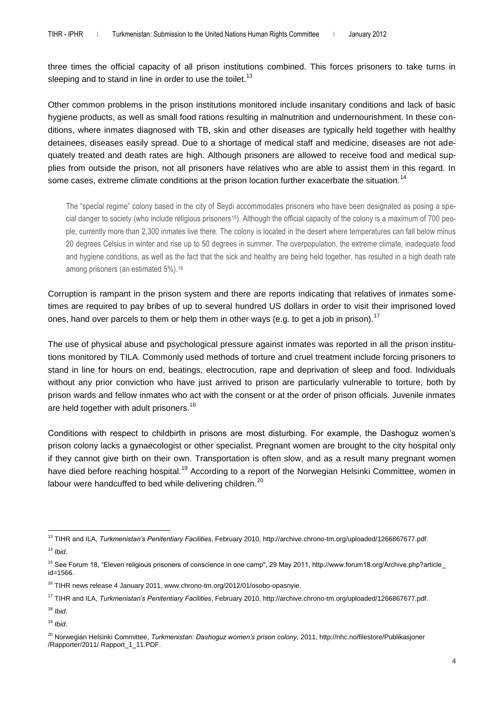three times the official capacity of all prison institutions combined. This forces prisoners to take turns in sleeping and to stand in line in order to use the toilet.<sup>13</sup>

Other common problems in the prison institutions monitored include insanitary conditions and lack of basic hygiene products, as well as small food rations resulting in malnutrition and undernourishment. In these conditions, where inmates diagnosed with TB, skin and other diseases are typically held together with healthy detainees, diseases easily spread. Due to a shortage of medical staff and medicine, diseases are not adequately treated and death rates are high. Although prisoners are allowed to receive food and medical supplies from outside the prison, not all prisoners have relatives who are able to assist them in this regard. In some cases, extreme climate conditions at the prison location further exacerbate the situation.<sup>14</sup>

The "special regime" colony based in the city of Seydi accommodates prisoners who have been designated as posing a special danger to society (who include religious prisoners15). Although the official capacity of the colony is a maximum of 700 people, currently more than 2,300 inmates live there. The colony is located in the desert where temperatures can fall below minus 20 degrees Celsius in winter and rise up to 50 degrees in summer. The overpopulation, the extreme climate, inadequate food and hygiene conditions, as well as the fact that the sick and healthy are being held together, has resulted in a high death rate among prisoners (an estimated 5%).<sup>16</sup>

Corruption is rampant in the prison system and there are reports indicating that relatives of inmates sometimes are required to pay bribes of up to several hundred US dollars in order to visit their imprisoned loved ones, hand over parcels to them or help them in other ways (e.g. to get a job in prison).<sup>17</sup>

The use of physical abuse and psychological pressure against inmates was reported in all the prison institutions monitored by TILA. Commonly used methods of torture and cruel treatment include forcing prisoners to stand in line for hours on end, beatings, electrocution, rape and deprivation of sleep and food. Individuals without any prior conviction who have just arrived to prison are particularly vulnerable to torture, both by prison wards and fellow inmates who act with the consent or at the order of prison officials. Juvenile inmates are held together with adult prisoners.<sup>18</sup>

Conditions with respect to childbirth in prisons are most disturbing. For example, the Dashoguz women's prison colony lacks a gynaecologist or other specialist. Pregnant women are brought to the city hospital only if they cannot give birth on their own. Transportation is often slow, and as a result many pregnant women have died before reaching hospital.<sup>19</sup> According to a report of the Norwegian Helsinki Committee, women in labour were handcuffed to bed while delivering children.<sup>20</sup>

 $\overline{a}$ 

<sup>13</sup> TIHR and ILA, *Turkmenistan's Penitentiary Facilities*, February 2010, http://archive.chrono-tm.org/uploaded/1266867677.pdf. <sup>14</sup> *Ibid*.

<sup>&</sup>lt;sup>15</sup> See Forum 18, "Eleven religious prisoners of conscience in one camp", 29 May 2011, http://www.forum18.org/Archive.php?article\_ id=1566.

<sup>&</sup>lt;sup>16</sup> TIHR news release 4 January 2011, www.chrono-tm.org/2012/01/osobo-opasnyie.

<sup>17</sup> TIHR and ILA, *Turkmenistan's Penitentiary Facilities*, February 2010, http://archive.chrono-tm.org/uploaded/1266867677.pdf.

<sup>18</sup> *Ibid*.

<sup>19</sup> *Ibid*.

<sup>20</sup> Norwegian Helsinki Committee, *Turkmenistan: Dashoguz women's prison colony*, 2011, http://nhc.no/filestore/Publikasjoner /Rapporter/2011/ Rapport\_1\_11.PDF.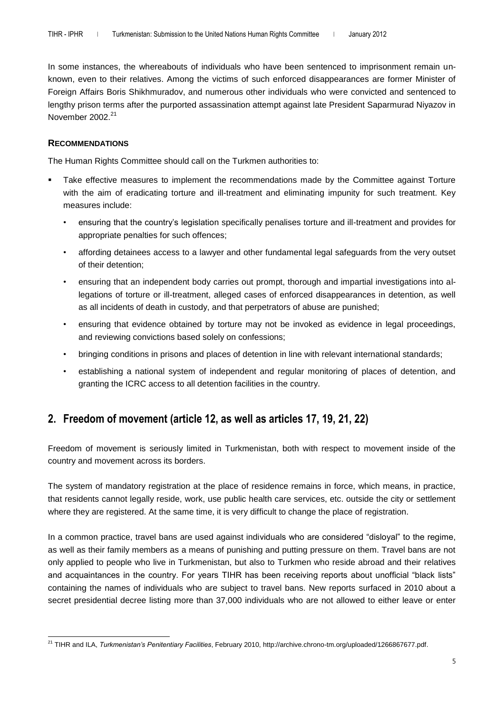In some instances, the whereabouts of individuals who have been sentenced to imprisonment remain unknown, even to their relatives. Among the victims of such enforced disappearances are former Minister of Foreign Affairs Boris Shikhmuradov, and numerous other individuals who were convicted and sentenced to lengthy prison terms after the purported assassination attempt against late President Saparmurad Niyazov in November 2002.<sup>21</sup>

#### **RECOMMENDATIONS**

The Human Rights Committee should call on the Turkmen authorities to:

- Take effective measures to implement the recommendations made by the Committee against Torture with the aim of eradicating torture and ill-treatment and eliminating impunity for such treatment. Key measures include:
	- ensuring that the country's legislation specifically penalises torture and ill-treatment and provides for appropriate penalties for such offences;
	- affording detainees access to a lawyer and other fundamental legal safeguards from the very outset of their detention;
	- ensuring that an independent body carries out prompt, thorough and impartial investigations into allegations of torture or ill-treatment, alleged cases of enforced disappearances in detention, as well as all incidents of death in custody, and that perpetrators of abuse are punished;
	- ensuring that evidence obtained by torture may not be invoked as evidence in legal proceedings, and reviewing convictions based solely on confessions;
	- bringing conditions in prisons and places of detention in line with relevant international standards;
	- establishing a national system of independent and regular monitoring of places of detention, and granting the ICRC access to all detention facilities in the country.

### **2. Freedom of movement (article 12, as well as articles 17, 19, 21, 22)**

Freedom of movement is seriously limited in Turkmenistan, both with respect to movement inside of the country and movement across its borders.

The system of mandatory registration at the place of residence remains in force, which means, in practice, that residents cannot legally reside, work, use public health care services, etc. outside the city or settlement where they are registered. At the same time, it is very difficult to change the place of registration.

In a common practice, travel bans are used against individuals who are considered "disloyal" to the regime, as well as their family members as a means of punishing and putting pressure on them. Travel bans are not only applied to people who live in Turkmenistan, but also to Turkmen who reside abroad and their relatives and acquaintances in the country. For years TIHR has been receiving reports about unofficial "black lists" containing the names of individuals who are subject to travel bans. New reports surfaced in 2010 about a secret presidential decree listing more than 37,000 individuals who are not allowed to either leave or enter

 $\overline{a}$ <sup>21</sup> TIHR and ILA, *Turkmenistan's Penitentiary Facilities*, February 2010, http://archive.chrono-tm.org/uploaded/1266867677.pdf.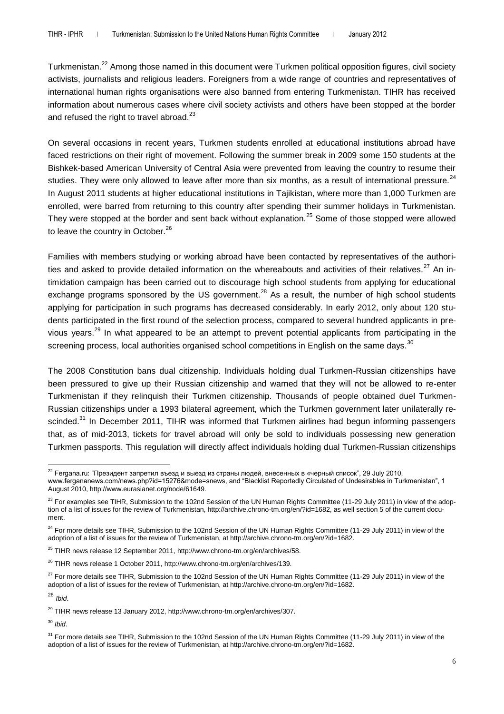Turkmenistan.<sup>22</sup> Among those named in this document were Turkmen political opposition figures, civil society activists, journalists and religious leaders. Foreigners from a wide range of countries and representatives of international human rights organisations were also banned from entering Turkmenistan. TIHR has received information about numerous cases where civil society activists and others have been stopped at the border and refused the right to travel abroad. $^{23}$ 

On several occasions in recent years, Turkmen students enrolled at educational institutions abroad have faced restrictions on their right of movement. Following the summer break in 2009 some 150 students at the Bishkek-based American University of Central Asia were prevented from leaving the country to resume their studies. They were only allowed to leave after more than six months, as a result of international pressure.<sup>24</sup> In August 2011 students at higher educational institutions in Tajikistan, where more than 1,000 Turkmen are enrolled, were barred from returning to this country after spending their summer holidays in Turkmenistan. They were stopped at the border and sent back without explanation.<sup>25</sup> Some of those stopped were allowed to leave the country in October.<sup>26</sup>

Families with members studying or working abroad have been contacted by representatives of the authorities and asked to provide detailed information on the whereabouts and activities of their relatives.<sup>27</sup> An intimidation campaign has been carried out to discourage high school students from applying for educational exchange programs sponsored by the US government.<sup>28</sup> As a result, the number of high school students applying for participation in such programs has decreased considerably. In early 2012, only about 120 students participated in the first round of the selection process, compared to several hundred applicants in previous years.<sup>29</sup> In what appeared to be an attempt to prevent potential applicants from participating in the screening process, local authorities organised school competitions in English on the same days.<sup>30</sup>

The 2008 Constitution bans dual citizenship. Individuals holding dual Turkmen-Russian citizenships have been pressured to give up their Russian citizenship and warned that they will not be allowed to re-enter Turkmenistan if they relinquish their Turkmen citizenship. Thousands of people obtained duel Turkmen-Russian citizenships under a 1993 bilateral agreement, which the Turkmen government later unilaterally rescinded.<sup>31</sup> In December 2011, TIHR was informed that Turkmen airlines had begun informing passengers that, as of mid-2013, tickets for travel abroad will only be sold to individuals possessing new generation Turkmen passports. This regulation will directly affect individuals holding dual Turkmen-Russian citizenships

 $\overline{a}$ 

<sup>30</sup> *Ibid*.

 $^{22}$  Fergana.ru: "Президент запретил въезд и выезд из страны людей, внесенных в «черный список", 29 July 2010, www.fergananews.com/news.php?id=15276&mode=snews, and "Blacklist Reportedly Circulated of Undesirables in Turkmenistan", 1 August 2010, http:/[/www.eurasianet.org/node/61649.](http://www.eurasianet.org/node/61649)

<sup>&</sup>lt;sup>23</sup> For examples see TIHR, Submission to the 102nd Session of the UN Human Rights Committee (11-29 July 2011) in view of the adoption of a list of issues for the review of Turkmenistan, http://archive.chrono-tm.org/en/?id=1682, as well section 5 of the current document.

<sup>&</sup>lt;sup>24</sup> For more details see TIHR, Submission to the 102nd Session of the UN Human Rights Committee (11-29 July 2011) in view of the adoption of a list of issues for the review of Turkmenistan, at http://archive.chrono-tm.org/en/?id=1682.

 $^{25}$  TIHR news release 12 September 2011, http://www.chrono-tm.org/en/archives/58.

<sup>&</sup>lt;sup>26</sup> TIHR news release 1 October 2011, http://www.chrono-tm.org/en/archives/139.

 $27$  For more details see TIHR. Submission to the 102nd Session of the UN Human Rights Committee (11-29 July 2011) in view of the adoption of a list of issues for the review of Turkmenistan, at http://archive.chrono-tm.org/en/?id=1682.

<sup>28</sup> *Ibid*.

<sup>&</sup>lt;sup>29</sup> TIHR news release 13 January 2012, http://www.chrono-tm.org/en/archives/307.

<sup>&</sup>lt;sup>31</sup> For more details see TIHR, Submission to the 102nd Session of the UN Human Rights Committee (11-29 July 2011) in view of the adoption of a list of issues for the review of Turkmenistan, at http://archive.chrono-tm.org/en/?id=1682.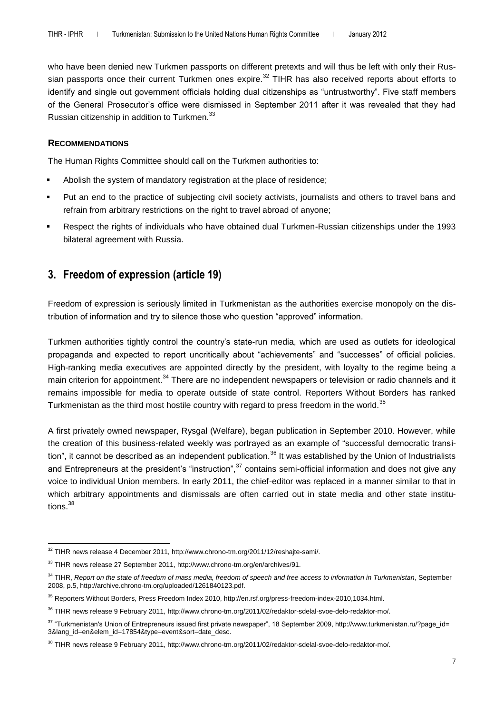who have been denied new Turkmen passports on different pretexts and will thus be left with only their Russian passports once their current Turkmen ones expire.<sup>32</sup> TIHR has also received reports about efforts to identify and single out government officials holding dual citizenships as "untrustworthy". Five staff members of the General Prosecutor's office were dismissed in September 2011 after it was revealed that they had Russian citizenship in addition to Turkmen.<sup>33</sup>

#### **RECOMMENDATIONS**

The Human Rights Committee should call on the Turkmen authorities to:

- Abolish the system of mandatory registration at the place of residence;
- Put an end to the practice of subjecting civil society activists, journalists and others to travel bans and refrain from arbitrary restrictions on the right to travel abroad of anyone;
- Respect the rights of individuals who have obtained dual Turkmen-Russian citizenships under the 1993 bilateral agreement with Russia.

### **3. Freedom of expression (article 19)**

Freedom of expression is seriously limited in Turkmenistan as the authorities exercise monopoly on the distribution of information and try to silence those who question "approved" information.

Turkmen authorities tightly control the country's state-run media, which are used as outlets for ideological propaganda and expected to report uncritically about "achievements" and "successes" of official policies. High-ranking media executives are appointed directly by the president, with loyalty to the regime being a main criterion for appointment.<sup>34</sup> There are no independent newspapers or television or radio channels and it remains impossible for media to operate outside of state control. Reporters Without Borders has ranked Turkmenistan as the third most hostile country with regard to press freedom in the world.<sup>35</sup>

A first privately owned newspaper, Rysgal (Welfare), began publication in September 2010. However, while the creation of this business-related weekly was portrayed as an example of "successful democratic transition", it cannot be described as an independent publication.<sup>36</sup> It was established by the Union of Industrialists and Entrepreneurs at the president's "instruction",<sup>37</sup> contains semi-official information and does not give any voice to individual Union members. In early 2011, the chief-editor was replaced in a manner similar to that in which arbitrary appointments and dismissals are often carried out in state media and other state institutions.<sup>38</sup>

 $\overline{a}$  $32$  TIHR news release 4 December 2011, http://www.chrono-tm.org/2011/12/reshajte-sami/.

<sup>&</sup>lt;sup>33</sup> TIHR news release 27 September 2011, http://www.chrono-tm.org/en/archives/91.

<sup>34</sup> TIHR, *Report on the state of freedom of mass media, freedom of speech and free access to information in Turkmenistan*, September 2008, p.5, http://archive.chrono-tm.org/uploaded/1261840123.pdf.

<sup>&</sup>lt;sup>35</sup> Reporters Without Borders, Press Freedom Index 2010, http://en.rsf.org/press-freedom-index-2010,1034.html.

<sup>36</sup> TIHR news release 9 February 2011, http://www.chrono-tm.org/2011/02/redaktor-sdelal-svoe-delo-redaktor-mo/.

<sup>37 &</sup>quot;Turkmenistan's Union of Entrepreneurs issued first private newspaper", 18 September 2009, http://www.turkmenistan.ru/?page\_id= 3&lang\_id=en&elem\_id=17854&type=event&sort=date\_desc.

<sup>38</sup> TIHR news release 9 February 2011, http://www.chrono-tm.org/2011/02/redaktor-sdelal-svoe-delo-redaktor-mo/.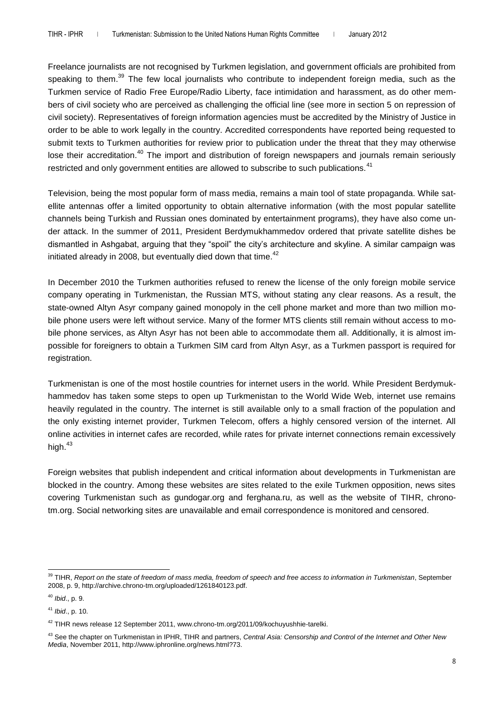Freelance journalists are not recognised by Turkmen legislation, and government officials are prohibited from speaking to them.<sup>39</sup> The few local journalists who contribute to independent foreign media, such as the Turkmen service of Radio Free Europe/Radio Liberty, face intimidation and harassment, as do other members of civil society who are perceived as challenging the official line (see more in section 5 on repression of civil society). Representatives of foreign information agencies must be accredited by the Ministry of Justice in order to be able to work legally in the country. Accredited correspondents have reported being requested to submit texts to Turkmen authorities for review prior to publication under the threat that they may otherwise lose their accreditation.<sup>40</sup> The import and distribution of foreign newspapers and journals remain seriously restricted and only government entities are allowed to subscribe to such publications.<sup>41</sup>

Television, being the most popular form of mass media, remains a main tool of state propaganda. While satellite antennas offer a limited opportunity to obtain alternative information (with the most popular satellite channels being Turkish and Russian ones dominated by entertainment programs), they have also come under attack. In the summer of 2011, President Berdymukhammedov ordered that private satellite dishes be dismantled in Ashgabat, arguing that they "spoil" the city's architecture and skyline. A similar campaign was initiated already in 2008, but eventually died down that time. $42$ 

In December 2010 the Turkmen authorities refused to renew the license of the only foreign mobile service company operating in Turkmenistan, the Russian MTS, without stating any clear reasons. As a result, the state-owned Altyn Asyr company gained monopoly in the cell phone market and more than two million mobile phone users were left without service. Many of the former MTS clients still remain without access to mobile phone services, as Altyn Asyr has not been able to accommodate them all. Additionally, it is almost impossible for foreigners to obtain a Turkmen SIM card from Altyn Asyr, as a Turkmen passport is required for registration.

Turkmenistan is one of the most hostile countries for internet users in the world. While President Berdymukhammedov has taken some steps to open up Turkmenistan to the World Wide Web, internet use remains heavily regulated in the country. The internet is still available only to a small fraction of the population and the only existing internet provider, Turkmen Telecom, offers a highly censored version of the internet. All online activities in internet cafes are recorded, while rates for private internet connections remain excessively high. $43$ 

Foreign websites that publish independent and critical information about developments in Turkmenistan are blocked in the country. Among these websites are sites related to the exile Turkmen opposition, news sites covering Turkmenistan such as gundogar.org and ferghana.ru, as well as the website of TIHR, chronotm.org. Social networking sites are unavailable and email correspondence is monitored and censored.

 $\overline{a}$ 

<sup>&</sup>lt;sup>39</sup> TIHR, Report on the state of freedom of mass media, freedom of speech and free access to information in Turkmenistan, September 2008, p. 9, http://archive.chrono-tm.org/uploaded/1261840123.pdf.

<sup>40</sup> *Ibid*., p. 9.

<sup>41</sup> *Ibid*., p. 10.

 $42$  TIHR news release 12 September 2011, www.chrono-tm.org/2011/09/kochuyushhie-tarelki.

<sup>43</sup> See the chapter on Turkmenistan in IPHR, TIHR and partners, *Central Asia: Censorship and Control of the Internet and Other New Media*, November 2011, http://www.iphronline.org/news.html?73.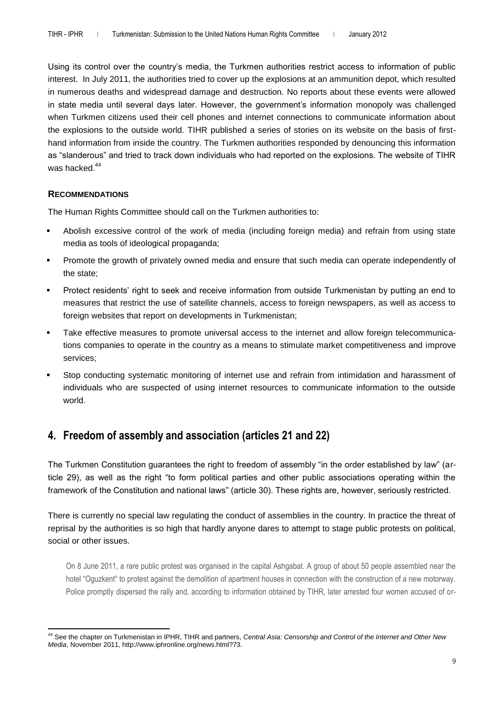Using its control over the country's media, the Turkmen authorities restrict access to information of public interest. In July 2011, the authorities tried to cover up the explosions at an ammunition depot, which resulted in numerous deaths and widespread damage and destruction. No reports about these events were allowed in state media until several days later. However, the government's information monopoly was challenged when Turkmen citizens used their cell phones and internet connections to communicate information about the explosions to the outside world. TIHR published a series of stories on its website on the basis of firsthand information from inside the country. The Turkmen authorities responded by denouncing this information as "slanderous" and tried to track down individuals who had reported on the explosions. The website of TIHR was hacked.<sup>44</sup>

#### **RECOMMENDATIONS**

The Human Rights Committee should call on the Turkmen authorities to:

- Abolish excessive control of the work of media (including foreign media) and refrain from using state media as tools of ideological propaganda;
- Promote the growth of privately owned media and ensure that such media can operate independently of the state;
- Protect residents' right to seek and receive information from outside Turkmenistan by putting an end to measures that restrict the use of satellite channels, access to foreign newspapers, as well as access to foreign websites that report on developments in Turkmenistan;
- Take effective measures to promote universal access to the internet and allow foreign telecommunications companies to operate in the country as a means to stimulate market competitiveness and improve services;
- Stop conducting systematic monitoring of internet use and refrain from intimidation and harassment of individuals who are suspected of using internet resources to communicate information to the outside world.

### **4. Freedom of assembly and association (articles 21 and 22)**

The Turkmen Constitution guarantees the right to freedom of assembly "in the order established by law" (article 29), as well as the right "to form political parties and other public associations operating within the framework of the Constitution and national laws" (article 30). These rights are, however, seriously restricted.

There is currently no special law regulating the conduct of assemblies in the country. In practice the threat of reprisal by the authorities is so high that hardly anyone dares to attempt to stage public protests on political, social or other issues.

On 8 June 2011, a rare public protest was organised in the capital Ashgabat. A group of about 50 people assembled near the hotel "Oguzkent" to protest against the demolition of apartment houses in connection with the construction of a new motorway. Police promptly dispersed the rally and, according to information obtained by TIHR, later arrested four women accused of or-

 $\overline{a}$ <sup>44</sup> See the chapter on Turkmenistan in IPHR, TIHR and partners, *Central Asia: Censorship and Control of the Internet and Other New Media*, November 2011, http://www.iphronline.org/news.html?73.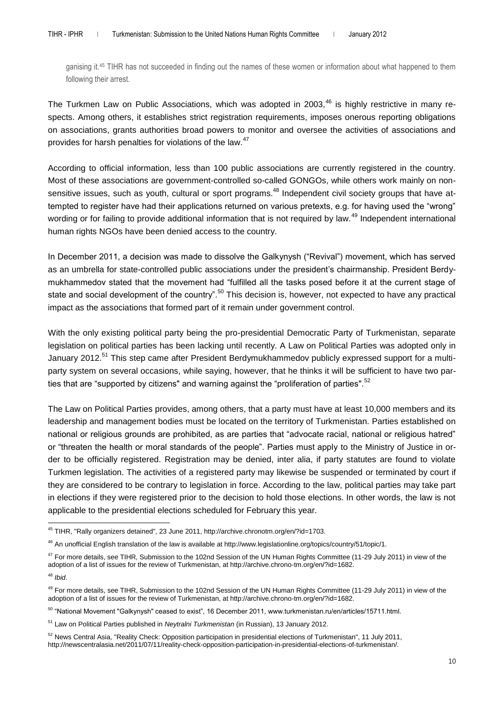ganising it.<sup>45</sup> TIHR has not succeeded in finding out the names of these women or information about what happened to them following their arrest.

The Turkmen Law on Public Associations, which was adopted in 2003,<sup>46</sup> is highly restrictive in many respects. Among others, it establishes strict registration requirements, imposes onerous reporting obligations on associations, grants authorities broad powers to monitor and oversee the activities of associations and provides for harsh penalties for violations of the law.<sup>47</sup>

According to official information, less than 100 public associations are currently registered in the country. Most of these associations are government-controlled so-called GONGOs, while others work mainly on nonsensitive issues, such as youth, cultural or sport programs.<sup>48</sup> Independent civil society groups that have attempted to register have had their applications returned on various pretexts, e.g. for having used the "wrong" wording or for failing to provide additional information that is not required by law.<sup>49</sup> Independent international human rights NGOs have been denied access to the country.

In December 2011, a decision was made to dissolve the Galkynysh ("Revival") movement, which has served as an umbrella for state-controlled public associations under the president's chairmanship. President Berdymukhammedov stated that the movement had "fulfilled all the tasks posed before it at the current stage of state and social development of the country".<sup>50</sup> This decision is, however, not expected to have any practical impact as the associations that formed part of it remain under government control.

With the only existing political party being the pro-presidential Democratic Party of Turkmenistan, separate legislation on political parties has been lacking until recently. A Law on Political Parties was adopted only in January 2012.<sup>51</sup> This step came after President Berdymukhammedov publicly expressed support for a multiparty system on several occasions, while saying, however, that he thinks it will be sufficient to have two parties that are "supported by citizens" and warning against the "proliferation of parties".<sup>52</sup>

The Law on Political Parties provides, among others, that a party must have at least 10,000 members and its leadership and management bodies must be located on the territory of Turkmenistan. Parties established on national or religious grounds are prohibited, as are parties that "advocate racial, national or religious hatred" or "threaten the health or moral standards of the people". Parties must apply to the Ministry of Justice in order to be officially registered. Registration may be denied, inter alia, if party statutes are found to violate Turkmen legislation. The activities of a registered party may likewise be suspended or terminated by court if they are considered to be contrary to legislation in force. According to the law, political parties may take part in elections if they were registered prior to the decision to hold those elections. In other words, the law is not applicable to the presidential elections scheduled for February this year.

 $\overline{a}$ <sup>45</sup> TIHR, "Rally organizers detained", 23 June 2011, http://archive.chronotm.org/en/?id=1703.

<sup>&</sup>lt;sup>46</sup> An unofficial English translation of the law is available at http://www.legislationline.org/topics/country/51/topic/1.

<sup>&</sup>lt;sup>47</sup> For more details, see TIHR, Submission to the 102nd Session of the UN Human Rights Committee (11-29 July 2011) in view of the adoption of a list of issues for the review of Turkmenistan, at http://archive.chrono-tm.org/en/?id=1682.

<sup>48</sup> *Ibid*.

<sup>&</sup>lt;sup>49</sup> For more details, see TIHR, Submission to the 102nd Session of the UN Human Rights Committee (11-29 July 2011) in view of the adoption of a list of issues for the review of Turkmenistan, at http://archive.chrono-tm.org/en/?id=1682.

<sup>50</sup> "National Movement "Galkynysh" ceased to exist", 16 December 2011, www.turkmenistan.ru/en/articles/15711.html.

<sup>51</sup> Law on Political Parties published in *Neytralni Turkmenistan* (in Russian), 13 January 2012.

<sup>&</sup>lt;sup>52</sup> News Central Asia, "Reality Check: Opposition participation in presidential elections of Turkmenistan", 11 July 2011, http://newscentralasia.net/2011/07/11/reality-check-opposition-participation-in-presidential-elections-of-turkmenistan/.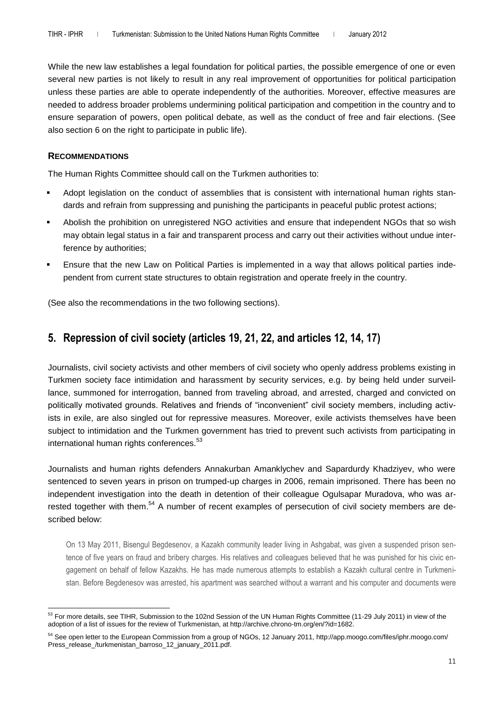While the new law establishes a legal foundation for political parties, the possible emergence of one or even several new parties is not likely to result in any real improvement of opportunities for political participation unless these parties are able to operate independently of the authorities. Moreover, effective measures are needed to address broader problems undermining political participation and competition in the country and to ensure separation of powers, open political debate, as well as the conduct of free and fair elections. (See also section 6 on the right to participate in public life).

#### **RECOMMENDATIONS**

The Human Rights Committee should call on the Turkmen authorities to:

- Adopt legislation on the conduct of assemblies that is consistent with international human rights standards and refrain from suppressing and punishing the participants in peaceful public protest actions;
- Abolish the prohibition on unregistered NGO activities and ensure that independent NGOs that so wish may obtain legal status in a fair and transparent process and carry out their activities without undue interference by authorities;
- Ensure that the new Law on Political Parties is implemented in a way that allows political parties independent from current state structures to obtain registration and operate freely in the country.

(See also the recommendations in the two following sections).

### **5. Repression of civil society (articles 19, 21, 22, and articles 12, 14, 17)**

Journalists, civil society activists and other members of civil society who openly address problems existing in Turkmen society face intimidation and harassment by security services, e.g. by being held under surveillance, summoned for interrogation, banned from traveling abroad, and arrested, charged and convicted on politically motivated grounds. Relatives and friends of "inconvenient" civil society members, including activists in exile, are also singled out for repressive measures. Moreover, exile activists themselves have been subject to intimidation and the Turkmen government has tried to prevent such activists from participating in international human rights conferences.<sup>53</sup>

Journalists and human rights defenders Annakurban Amanklychev and Sapardurdy Khadziyev, who were sentenced to seven years in prison on trumped-up charges in 2006, remain imprisoned. There has been no independent investigation into the death in detention of their colleague Ogulsapar Muradova, who was arrested together with them.<sup>54</sup> A number of recent examples of persecution of civil society members are described below:

On 13 May 2011, Bisengul Begdesenov, a Kazakh community leader living in Ashgabat, was given a suspended prison sentence of five years on fraud and bribery charges. His relatives and colleagues believed that he was punished for his civic engagement on behalf of fellow Kazakhs. He has made numerous attempts to establish a Kazakh cultural centre in Turkmenistan. Before Begdenesov was arrested, his apartment was searched without a warrant and his computer and documents were

 $\overline{a}$ 53 For more details, see TIHR, Submission to the 102nd Session of the UN Human Rights Committee (11-29 July 2011) in view of the adoption of a list of issues for the review of Turkmenistan, at http://archive.chrono-tm.org/en/?id=1682.

<sup>54</sup> See open letter to the European Commission from a group of NGOs, 12 January 2011, http://app.moogo.com/files/iphr.moogo.com/ Press\_release\_/turkmenistan\_barroso\_12\_january\_2011.pdf.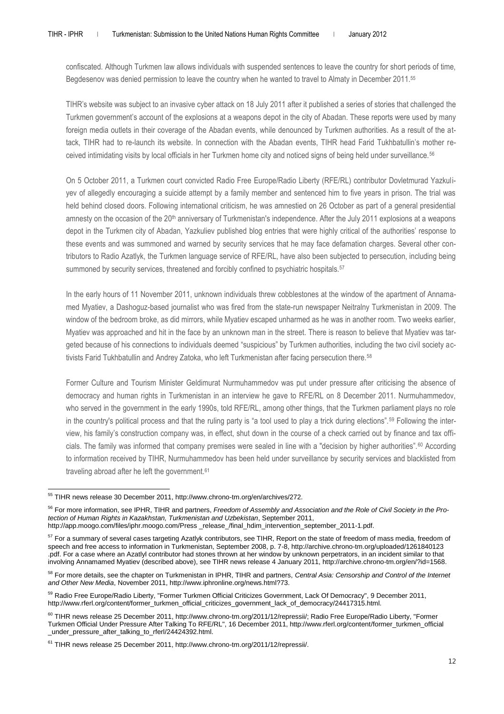confiscated. Although Turkmen law allows individuals with suspended sentences to leave the country for short periods of time, Begdesenov was denied permission to leave the country when he wanted to travel to Almaty in December 2011.<sup>55</sup>

TIHR's website was subject to an invasive cyber attack on 18 July 2011 after it published a series of stories that challenged the Turkmen government's account of the explosions at a weapons depot in the city of Abadan. These reports were used by many foreign media outlets in their coverage of the Abadan events, while denounced by Turkmen authorities. As a result of the attack, TIHR had to re-launch its website. In connection with the Abadan events, TIHR head Farid Tukhbatullin's mother received intimidating visits by local officials in her Turkmen home city and noticed signs of being held under surveillance.<sup>56</sup>

On 5 October 2011, a Turkmen court convicted Radio Free Europe/Radio Liberty (RFE/RL) contributor Dovletmurad Yazkuliyev of allegedly encouraging a suicide attempt by a family member and sentenced him to five years in prison. The trial was held behind closed doors. Following international criticism, he was amnestied on 26 October as part of a general presidential amnesty on the occasion of the 20<sup>th</sup> anniversary of Turkmenistan's independence. After the July 2011 explosions at a weapons depot in the Turkmen city of Abadan, Yazkuliev published blog entries that were highly critical of the authorities' response to these events and was summoned and warned by security services that he may face defamation charges. Several other contributors to Radio Azatlyk, the Turkmen language service of RFE/RL, have also been subjected to persecution, including being summoned by security services, threatened and forcibly confined to psychiatric hospitals.<sup>57</sup>

In the early hours of 11 November 2011, unknown individuals threw cobblestones at the window of the apartment of Annamamed Myatiev, a Dashoguz-based journalist who was fired from the state-run newspaper Neitralny Turkmenistan in 2009. The window of the bedroom broke, as did mirrors, while Myatiev escaped unharmed as he was in another room. Two weeks earlier, Myatiev was approached and hit in the face by an unknown man in the street. There is reason to believe that Myatiev was targeted because of his connections to individuals deemed "suspicious" by Turkmen authorities, including the two civil society activists Farid Tukhbatullin and Andrey Zatoka, who left Turkmenistan after facing persecution there.<sup>58</sup>

Former Culture and Tourism Minister Geldimurat Nurmuhammedov was put under pressure after criticising the absence of democracy and human rights in Turkmenistan in an interview he gave to RFE/RL on 8 December 2011. Nurmuhammedov, who served in the government in the early 1990s, told RFE/RL, among other things, that the Turkmen parliament plays no role in the country's political process and that the ruling party is "a tool used to play a trick during elections".<sup>59</sup> Following the interview, his family's construction company was, in effect, shut down in the course of a check carried out by finance and tax officials. The family was informed that company premises were sealed in line with a "decision by higher authorities".<sup>60</sup> According to information received by TIHR, Nurmuhammedov has been held under surveillance by security services and blacklisted from traveling abroad after he left the government.<sup>61</sup>

 $\overline{a}$ 

<sup>&</sup>lt;sup>55</sup> TIHR news release 30 December 2011, http://www.chrono-tm.org/en/archives/272.

<sup>56</sup> For more information, see IPHR, TIHR and partners, *Freedom of Assembly and Association and the Role of Civil Society in the Protection of Human Rights in Kazakhstan, Turkmenistan and Uzbekistan*, September 2011, http://app.moogo.com/files/iphr.moogo.com/Press \_release\_/final\_hdim\_intervention\_september\_2011-1.pdf.

<sup>&</sup>lt;sup>57</sup> For a summary of several cases targeting Azatlyk contributors, see TIHR, Report on the state of freedom of mass media, freedom of speech and free access to information in Turkmenistan, September 2008, p. 7-8, http://archive.chrono-tm.org/uploaded/1261840123 .pdf. For a case where an Azatlyl contributor had stones thrown at her window by unknown perpetrators, in an incident similar to that

involving Annamamed Myatiev (described above), see TIHR news release 4 January 2011, http://archive.chrono-tm.org/en/?id=1568.

<sup>58</sup> For more details, see the chapter on Turkmenistan in IPHR, TIHR and partners, *Central Asia: Censorship and Control of the Internet and Other New Media*, November 2011, http://www.iphronline.org/news.html?73.

<sup>59</sup> Radio Free Europe/Radio Liberty, "Former Turkmen Official Criticizes Government, Lack Of Democracy", 9 December 2011, http://www.rferl.org/content/former\_turkmen\_official\_criticizes\_government\_lack\_of\_democracy/24417315.html.

<sup>&</sup>lt;sup>60</sup> TIHR news release 25 December 2011, http://www.chrono-tm.org/2011/12/repressii/; Radio Free Europe/Radio Liberty, "Former Turkmen Official Under Pressure After Talking To RFE/RL", 16 December 2011, http://www.rferl.org/content/former\_turkmen\_official \_under\_pressure\_after\_talking\_to\_rferl/24424392.html.

<sup>&</sup>lt;sup>61</sup> TIHR news release 25 December 2011, http://www.chrono-tm.org/2011/12/repressii/.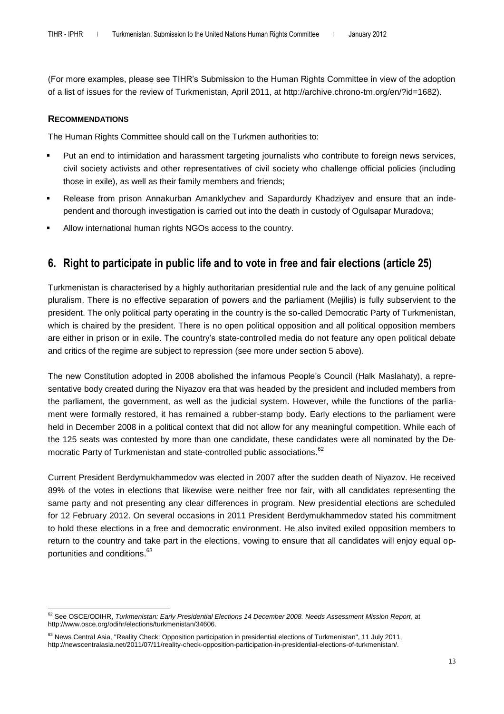(For more examples, please see TIHR's Submission to the Human Rights Committee in view of the adoption of a list of issues for the review of Turkmenistan, April 2011, at http://archive.chrono-tm.org/en/?id=1682).

#### **RECOMMENDATIONS**

The Human Rights Committee should call on the Turkmen authorities to:

- Put an end to intimidation and harassment targeting journalists who contribute to foreign news services, civil society activists and other representatives of civil society who challenge official policies (including those in exile), as well as their family members and friends;
- Release from prison Annakurban Amanklychev and Sapardurdy Khadziyev and ensure that an independent and thorough investigation is carried out into the death in custody of Ogulsapar Muradova;
- Allow international human rights NGOs access to the country.

### **6. Right to participate in public life and to vote in free and fair elections (article 25)**

Turkmenistan is characterised by a highly authoritarian presidential rule and the lack of any genuine political pluralism. There is no effective separation of powers and the parliament (Mejilis) is fully subservient to the president. The only political party operating in the country is the so-called Democratic Party of Turkmenistan, which is chaired by the president. There is no open political opposition and all political opposition members are either in prison or in exile. The country's state-controlled media do not feature any open political debate and critics of the regime are subject to repression (see more under section 5 above).

The new Constitution adopted in 2008 abolished the infamous People's Council (Halk Maslahaty), a representative body created during the Niyazov era that was headed by the president and included members from the parliament, the government, as well as the judicial system. However, while the functions of the parliament were formally restored, it has remained a rubber-stamp body. Early elections to the parliament were held in December 2008 in a political context that did not allow for any meaningful competition. While each of the 125 seats was contested by more than one candidate, these candidates were all nominated by the Democratic Party of Turkmenistan and state-controlled public associations.<sup>62</sup>

Current President Berdymukhammedov was elected in 2007 after the sudden death of Niyazov. He received 89% of the votes in elections that likewise were neither free nor fair, with all candidates representing the same party and not presenting any clear differences in program. New presidential elections are scheduled for 12 February 2012. On several occasions in 2011 President Berdymukhammedov stated his commitment to hold these elections in a free and democratic environment. He also invited exiled opposition members to return to the country and take part in the elections, vowing to ensure that all candidates will enjoy equal opportunities and conditions.<sup>63</sup>

 $\overline{a}$ <sup>62</sup> See OSCE/ODIHR, *Turkmenistan: Early Presidential Elections 14 December 2008. Needs Assessment Mission Report*, at http://www.osce.org/odihr/elections/turkmenistan/34606.

<sup>&</sup>lt;sup>63</sup> News Central Asia, "Reality Check: Opposition participation in presidential elections of Turkmenistan", 11 July 2011, http://newscentralasia.net/2011/07/11/reality-check-opposition-participation-in-presidential-elections-of-turkmenistan/.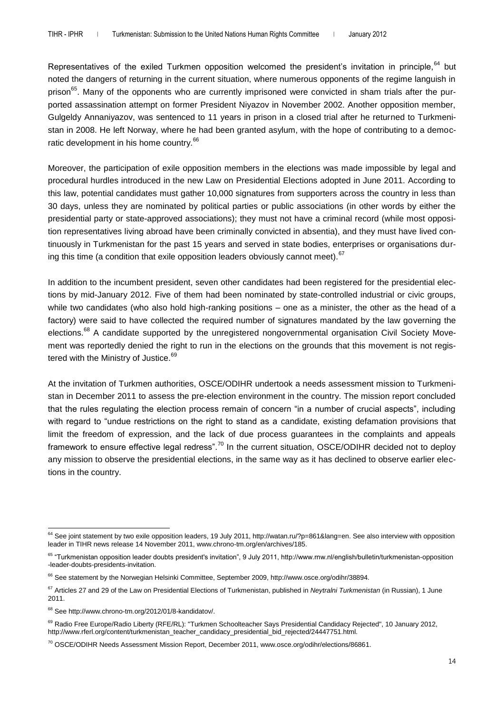Representatives of the exiled Turkmen opposition welcomed the president's invitation in principle, <sup>64</sup> but noted the dangers of returning in the current situation, where numerous opponents of the regime languish in prison<sup>65</sup>. Many of the opponents who are currently imprisoned were convicted in sham trials after the purported assassination attempt on former President Niyazov in November 2002. Another opposition member, Gulgeldy Annaniyazov, was sentenced to 11 years in prison in a closed trial after he returned to Turkmenistan in 2008. He left Norway, where he had been granted asylum, with the hope of contributing to a democratic development in his home country.<sup>66</sup>

Moreover, the participation of exile opposition members in the elections was made impossible by legal and procedural hurdles introduced in the new Law on Presidential Elections adopted in June 2011. According to this law, potential candidates must gather 10,000 signatures from supporters across the country in less than 30 days, unless they are nominated by political parties or public associations (in other words by either the presidential party or state-approved associations); they must not have a criminal record (while most opposition representatives living abroad have been criminally convicted in absentia), and they must have lived continuously in Turkmenistan for the past 15 years and served in state bodies, enterprises or organisations during this time (a condition that exile opposition leaders obviously cannot meet).  $67$ 

In addition to the incumbent president, seven other candidates had been registered for the presidential elections by mid-January 2012. Five of them had been nominated by state-controlled industrial or civic groups, while two candidates (who also hold high-ranking positions – one as a minister, the other as the head of a factory) were said to have collected the required number of signatures mandated by the law governing the elections.<sup>68</sup> A candidate supported by the unregistered nongovernmental organisation Civil Society Movement was reportedly denied the right to run in the elections on the grounds that this movement is not registered with the Ministry of Justice.<sup>69</sup>

At the invitation of Turkmen authorities, OSCE/ODIHR undertook a needs assessment mission to Turkmenistan in December 2011 to assess the pre-election environment in the country. The mission report concluded that the rules regulating the election process remain of concern "in a number of crucial aspects", including with regard to "undue restrictions on the right to stand as a candidate, existing defamation provisions that limit the freedom of expression, and the lack of due process guarantees in the complaints and appeals framework to ensure effective legal redress".<sup>70</sup> In the current situation, OSCE/ODIHR decided not to deploy any mission to observe the presidential elections, in the same way as it has declined to observe earlier elections in the country.

 $\overline{a}$ <sup>64</sup> See joint statement by two exile opposition leaders, 19 July 2011, http://watan.ru/?p=861&lang=en. See also interview with opposition leader in TIHR news release 14 November 2011, www.chrono-tm.org/en/archives/185.

<sup>65</sup> "Turkmenistan opposition leader doubts president's invitation", 9 July 2011, http://www.rnw.nl/english/bulletin/turkmenistan-opposition -leader-doubts-presidents-invitation.

<sup>&</sup>lt;sup>66</sup> See statement by the Norwegian Helsinki Committee, September 2009, http://www.osce.org/odihr/38894.

<sup>67</sup> Articles 27 and 29 of the Law on Presidential Elections of Turkmenistan, published in *Neytralni Turkmenistan* (in Russian), 1 June 2011.

<sup>68</sup> See http://www.chrono-tm.org/2012/01/8-kandidatov/.

<sup>&</sup>lt;sup>69</sup> Radio Free Europe/Radio Liberty (RFE/RL): "Turkmen Schoolteacher Says Presidential Candidacy Rejected", 10 January 2012, http://www.rferl.org/content/turkmenistan\_teacher\_candidacy\_presidential\_bid\_rejected/24447751.html.

<sup>70</sup> OSCE/ODIHR Needs Assessment Mission Report, December 2011, www.osce.org/odihr/elections/86861.